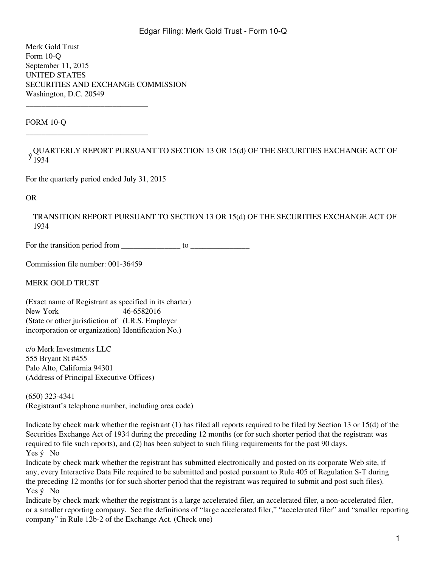Merk Gold Trust Form 10-Q September 11, 2015 UNITED STATES SECURITIES AND EXCHANGE COMMISSION Washington, D.C. 20549

FORM 10-Q

, QUARTERLY REPORT PURSUANT TO SECTION 13 OR 15(d) OF THE SECURITIES EXCHANGE ACT OF<br>y 1024 1934

For the quarterly period ended July 31, 2015

\_\_\_\_\_\_\_\_\_\_\_\_\_\_\_\_\_\_\_\_\_\_\_\_\_\_\_\_\_\_\_

\_\_\_\_\_\_\_\_\_\_\_\_\_\_\_\_\_\_\_\_\_\_\_\_\_\_\_\_\_\_\_

OR

TRANSITION REPORT PURSUANT TO SECTION 13 OR 15(d) OF THE SECURITIES EXCHANGE ACT OF 1934

For the transition period from \_\_\_\_\_\_\_\_\_\_\_\_\_\_\_ to \_\_\_\_\_\_\_\_\_\_\_\_\_\_\_

Commission file number: 001-36459

MERK GOLD TRUST

(Exact name of Registrant as specified in its charter) New York 46-6582016 (State or other jurisdiction of (I.R.S. Employer incorporation or organization) Identification No.)

c/o Merk Investments LLC 555 Bryant St #455 Palo Alto, California 94301 (Address of Principal Executive Offices)

(650) 323-4341 (Registrant's telephone number, including area code)

Indicate by check mark whether the registrant (1) has filed all reports required to be filed by Section 13 or 15(d) of the Securities Exchange Act of 1934 during the preceding 12 months (or for such shorter period that the registrant was required to file such reports), and (2) has been subject to such filing requirements for the past 90 days. Yes ý No

Indicate by check mark whether the registrant has submitted electronically and posted on its corporate Web site, if any, every Interactive Data File required to be submitted and posted pursuant to Rule 405 of Regulation S-T during the preceding 12 months (or for such shorter period that the registrant was required to submit and post such files). Yes ý No

Indicate by check mark whether the registrant is a large accelerated filer, an accelerated filer, a non-accelerated filer, or a smaller reporting company. See the definitions of "large accelerated filer," "accelerated filer" and "smaller reporting company" in Rule 12b-2 of the Exchange Act. (Check one)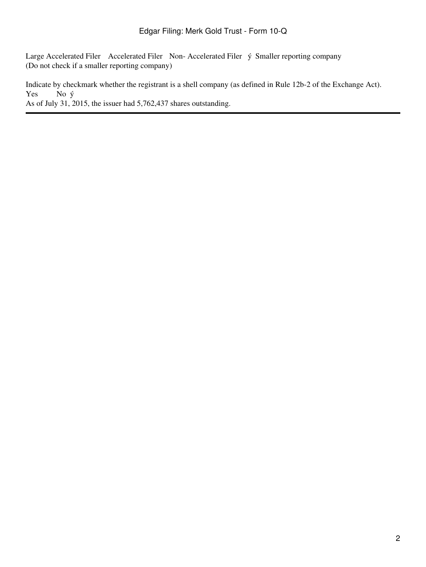Large Accelerated Filer Accelerated Filer Non-Accelerated Filer ý Smaller reporting company (Do not check if a smaller reporting company)

Indicate by checkmark whether the registrant is a shell company (as defined in Rule 12b-2 of the Exchange Act). Yes No ý As of July 31, 2015, the issuer had 5,762,437 shares outstanding.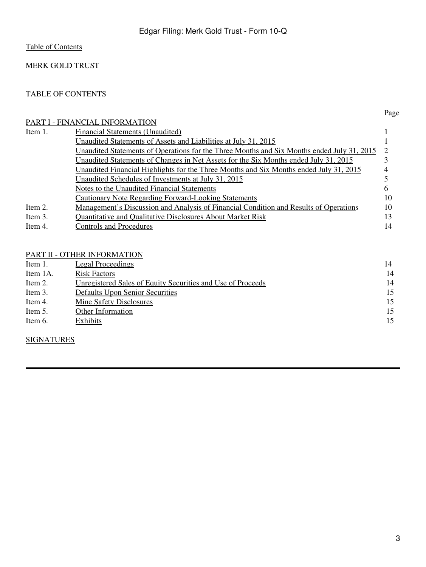# MERK GOLD TRUST

## <span id="page-2-0"></span>TABLE OF CONTENTS

# [PART I - FINANCIAL INFORMATION](#page-3-0)

|         | PART I - FINANCIAL INFORMATION                                                             |    |
|---------|--------------------------------------------------------------------------------------------|----|
| Item 1. | <b>Financial Statements (Unaudited)</b>                                                    |    |
|         | Unaudited Statements of Assets and Liabilities at July 31, 2015                            |    |
|         | Unaudited Statements of Operations for the Three Months and Six Months ended July 31, 2015 |    |
|         | Unaudited Statements of Changes in Net Assets for the Six Months ended July 31, 2015       |    |
|         | Unaudited Financial Highlights for the Three Months and Six Months ended July 31, 2015     |    |
|         | Unaudited Schedules of Investments at July 31, 2015                                        |    |
|         | Notes to the Unaudited Financial Statements                                                |    |
|         | <b>Cautionary Note Regarding Forward-Looking Statements</b>                                | 10 |
| Item 2. | Management's Discussion and Analysis of Financial Condition and Results of Operations      | 10 |
| Item 3. | <b>Ouantitative and Oualitative Disclosures About Market Risk</b>                          | 13 |
| Item 4. | <b>Controls and Procedures</b>                                                             | 14 |
|         |                                                                                            |    |

# [PART II - OTHER INFORMATION](#page-24-1)

| Item 1.  | <u>Legal Proceedings</u>                                    | 14 |
|----------|-------------------------------------------------------------|----|
| Item 1A. | <b>Risk Factors</b>                                         | 14 |
| Item 2.  | Unregistered Sales of Equity Securities and Use of Proceeds | 14 |
| Item 3.  | <b>Defaults Upon Senior Securities</b>                      | 15 |
| Item 4.  | <b>Mine Safety Disclosures</b>                              | 15 |
| Item 5.  | <b>Other Information</b>                                    | 15 |
| Item 6.  | <b>Exhibits</b>                                             | 15 |

# **[SIGNATURES](#page-27-0)**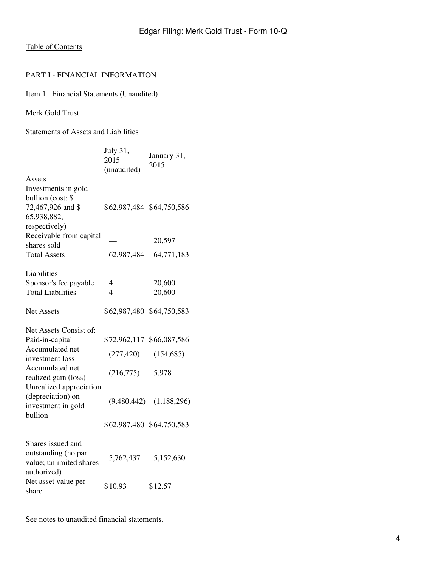#### <span id="page-3-0"></span>PART I - FINANCIAL INFORMATION

<span id="page-3-1"></span>Item 1. Financial Statements (Unaudited)

Merk Gold Trust

<span id="page-3-2"></span>Statements of Assets and Liabilities

|                                                                                                                            | July 31,<br>2015<br>(unaudited)                  | January 31,<br>2015                 |
|----------------------------------------------------------------------------------------------------------------------------|--------------------------------------------------|-------------------------------------|
| Assets<br>Investments in gold<br>bullion (cost: \$<br>72,467,926 and \$<br>65,938,882,<br>respectively)                    | \$62,987,484 \$64,750,586                        |                                     |
| Receivable from capital<br>shares sold<br><b>Total Assets</b>                                                              | 62,987,484                                       | 20,597<br>64,771,183                |
| Liabilities<br>Sponsor's fee payable<br><b>Total Liabilities</b><br><b>Net Assets</b>                                      | 4<br>$\overline{4}$<br>\$62,987,480 \$64,750,583 | 20,600<br>20,600                    |
| Net Assets Consist of:<br>Paid-in-capital<br>Accumulated net<br>investment loss<br>Accumulated net<br>realized gain (loss) | \$72,962,117<br>(277, 420)<br>(216,775)          | \$66,087,586<br>(154, 685)<br>5,978 |
| Unrealized appreciation<br>(depreciation) on<br>investment in gold<br>bullion                                              | (9,480,442)<br>\$62,987,480 \$64,750,583         | (1, 188, 296)                       |
| Shares issued and<br>outstanding (no par<br>value; unlimited shares<br>authorized)                                         | 5,762,437                                        | 5,152,630                           |
| Net asset value per<br>share                                                                                               | \$10.93                                          | \$12.57                             |

See notes to unaudited financial statements.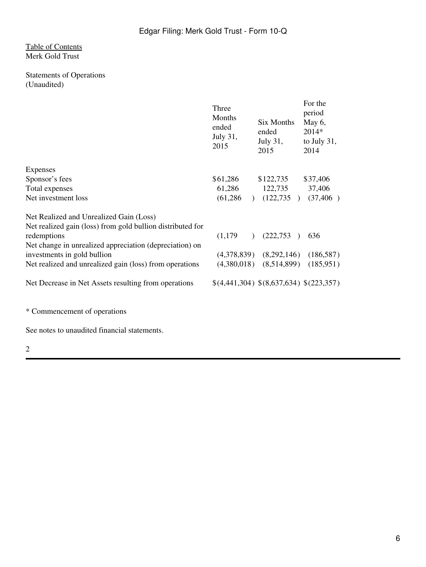## [Table of Contents](#page-2-0) Merk Gold Trust

# <span id="page-5-0"></span>Statements of Operations (Unaudited)

|                                                            | Three<br>Months<br>ended<br>July 31,<br>2015 | Six Months<br>ended<br>July $31$ ,<br>2015 | For the<br>period<br>May 6,<br>$2014*$<br>to July $31$ ,<br>2014 |
|------------------------------------------------------------|----------------------------------------------|--------------------------------------------|------------------------------------------------------------------|
| <b>Expenses</b>                                            |                                              |                                            |                                                                  |
| Sponsor's fees                                             | \$61,286                                     | \$122,735                                  | \$37,406                                                         |
| Total expenses                                             | 61,286                                       | 122,735                                    | 37,406                                                           |
| Net investment loss                                        | (61, 286)                                    | (122, 735)<br>$\lambda$                    | (37, 406)                                                        |
| Net Realized and Unrealized Gain (Loss)                    |                                              |                                            |                                                                  |
| Net realized gain (loss) from gold bullion distributed for |                                              |                                            |                                                                  |
| redemptions                                                | (1,179)                                      | (222, 753)<br>$\lambda$                    | 636                                                              |
| Net change in unrealized appreciation (depreciation) on    |                                              |                                            |                                                                  |
| investments in gold bullion                                |                                              | $(4,378,839)$ $(8,292,146)$ $(186,587)$    |                                                                  |
| Net realized and unrealized gain (loss) from operations    |                                              | $(4,380,018)$ $(8,514,899)$                | (185, 951)                                                       |
| Net Decrease in Net Assets resulting from operations       |                                              | \$(4,441,304) \$(8,637,634) \$(223,357)    |                                                                  |
|                                                            |                                              |                                            |                                                                  |

\* Commencement of operations

See notes to unaudited financial statements.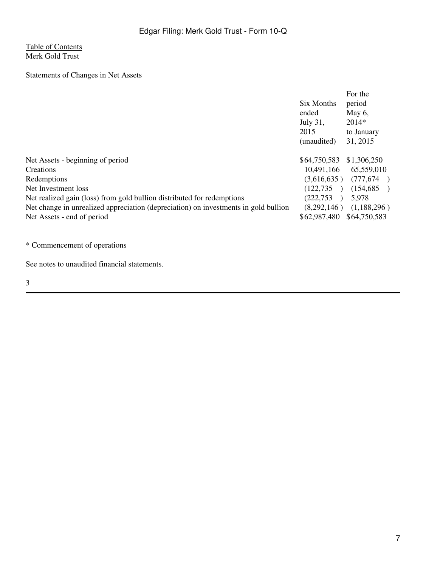# [Table of Contents](#page-2-0) Merk Gold Trust

<span id="page-6-0"></span>Statements of Changes in Net Assets

|                                                                                     |              | For the      |
|-------------------------------------------------------------------------------------|--------------|--------------|
|                                                                                     | Six Months   | period       |
|                                                                                     | ended        | May $6$ ,    |
|                                                                                     | July 31,     | $2014*$      |
|                                                                                     | 2015         | to January   |
|                                                                                     | (unaudited)  | 31, 2015     |
| Net Assets - beginning of period                                                    | \$64,750,583 | \$1,306,250  |
| Creations                                                                           | 10,491,166   | 65,559,010   |
| Redemptions                                                                         | (3,616,635)  | (777, 674)   |
| Net Investment loss                                                                 | (122, 735)   | (154, 685)   |
| Net realized gain (loss) from gold bullion distributed for redemptions              | (222, 753)   | 5,978        |
| Net change in unrealized appreciation (depreciation) on investments in gold bullion | (8,292,146)  | (1,188,296)  |
| Net Assets - end of period                                                          | \$62,987,480 | \$64,750,583 |

\* Commencement of operations

See notes to unaudited financial statements.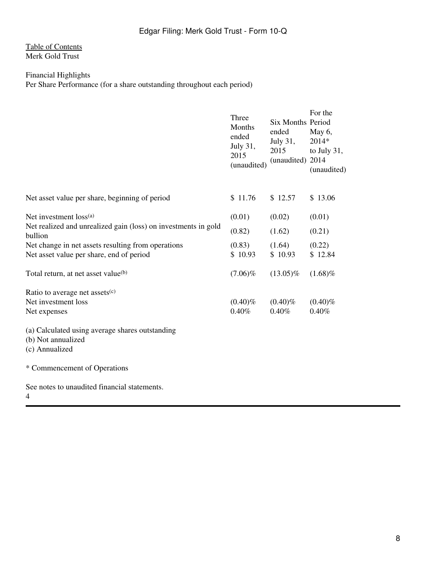# [Table of Contents](#page-2-0) Merk Gold Trust

# <span id="page-7-0"></span>Financial Highlights

Per Share Performance (for a share outstanding throughout each period)

|                                                                           | Three<br>Months<br>ended<br>July 31,<br>2015<br>(unaudited) | Six Months Period<br>ended<br>July 31,<br>2015<br>(unaudited) 2014 | For the<br>May 6,<br>2014*<br>to July $31$ ,<br>(unaudited) |
|---------------------------------------------------------------------------|-------------------------------------------------------------|--------------------------------------------------------------------|-------------------------------------------------------------|
| Net asset value per share, beginning of period                            | \$11.76                                                     | \$12.57                                                            | \$13.06                                                     |
| Net investment loss <sup>(a)</sup>                                        | (0.01)                                                      | (0.02)                                                             | (0.01)                                                      |
| Net realized and unrealized gain (loss) on investments in gold<br>bullion | (0.82)                                                      | (1.62)                                                             | (0.21)                                                      |
| Net change in net assets resulting from operations                        | (0.83)                                                      | (1.64)                                                             | (0.22)                                                      |
| Net asset value per share, end of period                                  | \$10.93                                                     | \$10.93                                                            | \$12.84                                                     |
| Total return, at net asset value <sup>(b)</sup>                           | $(7.06)\%$                                                  | $(13.05)\%$                                                        | $(1.68)\%$                                                  |
| Ratio to average net assets <sup>(c)</sup>                                |                                                             |                                                                    |                                                             |
| Net investment loss                                                       | $(0.40)\%$                                                  | $(0.40)\%$                                                         | $(0.40)\%$                                                  |
| Net expenses                                                              | 0.40%                                                       | 0.40%                                                              | 0.40%                                                       |
| (a) Calculated using average shares outstanding                           |                                                             |                                                                    |                                                             |
| (b) Not annualized                                                        |                                                             |                                                                    |                                                             |
| (c) Annualized                                                            |                                                             |                                                                    |                                                             |
| * Commencement of Operations                                              |                                                             |                                                                    |                                                             |
| See notes to unaudited financial statements.                              |                                                             |                                                                    |                                                             |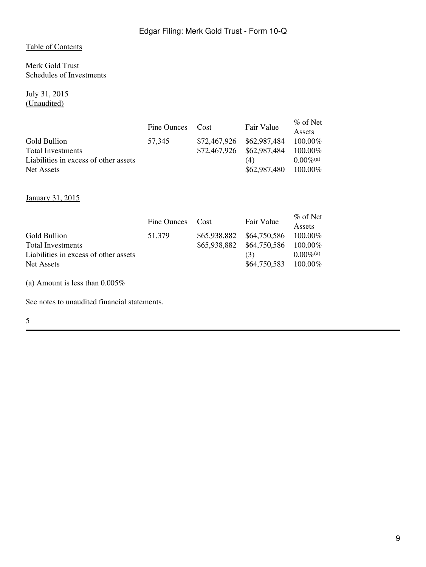<span id="page-8-0"></span>Merk Gold Trust Schedules of Investments

July 31, 2015 (Unaudited)

|                                       | Fine Ounces | Cost         | Fair Value   | $\%$ of Net<br><b>Assets</b> |
|---------------------------------------|-------------|--------------|--------------|------------------------------|
| Gold Bullion                          | 57.345      | \$72,467,926 | \$62,987,484 | $100.00\%$                   |
| <b>Total Investments</b>              |             | \$72,467,926 | \$62,987,484 | $100.00\%$                   |
| Liabilities in excess of other assets |             |              | (4)          | $0.00\%$ <sup>(a)</sup>      |
| Net Assets                            |             |              | \$62,987,480 | 100.00%                      |

January 31, 2015

|                                       | Fine Ounces | Cost         | Fair Value   | $\%$ of Net<br>Assets   |
|---------------------------------------|-------------|--------------|--------------|-------------------------|
| Gold Bullion                          | 51.379      | \$65,938,882 | \$64,750,586 | $100.00\%$              |
| <b>Total Investments</b>              |             | \$65,938,882 | \$64,750,586 | $100.00\%$              |
| Liabilities in excess of other assets |             |              | (3)          | $0.00\%$ <sup>(a)</sup> |
| Net Assets                            |             |              | \$64,750,583 | $100.00\%$              |

(a) Amount is less than 0.005%

See notes to unaudited financial statements.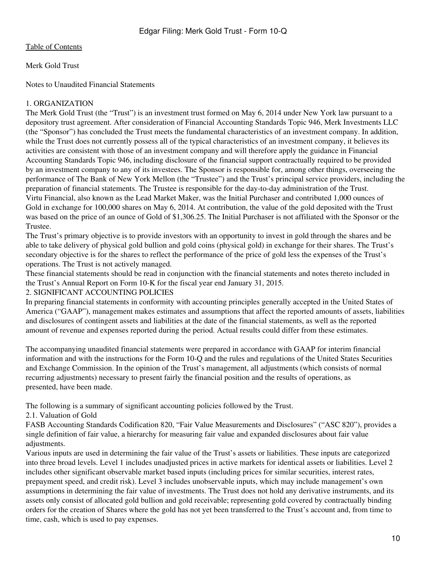Merk Gold Trust

<span id="page-9-0"></span>Notes to Unaudited Financial Statements

# 1. ORGANIZATION

The Merk Gold Trust (the "Trust") is an investment trust formed on May 6, 2014 under New York law pursuant to a depository trust agreement. After consideration of Financial Accounting Standards Topic 946, Merk Investments LLC (the "Sponsor") has concluded the Trust meets the fundamental characteristics of an investment company. In addition, while the Trust does not currently possess all of the typical characteristics of an investment company, it believes its activities are consistent with those of an investment company and will therefore apply the guidance in Financial Accounting Standards Topic 946, including disclosure of the financial support contractually required to be provided by an investment company to any of its investees. The Sponsor is responsible for, among other things, overseeing the performance of The Bank of New York Mellon (the "Trustee") and the Trust's principal service providers, including the preparation of financial statements. The Trustee is responsible for the day-to-day administration of the Trust. Virtu Financial, also known as the Lead Market Maker, was the Initial Purchaser and contributed 1,000 ounces of Gold in exchange for 100,000 shares on May 6, 2014. At contribution, the value of the gold deposited with the Trust was based on the price of an ounce of Gold of \$1,306.25. The Initial Purchaser is not affiliated with the Sponsor or the Trustee.

The Trust's primary objective is to provide investors with an opportunity to invest in gold through the shares and be able to take delivery of physical gold bullion and gold coins (physical gold) in exchange for their shares. The Trust's secondary objective is for the shares to reflect the performance of the price of gold less the expenses of the Trust's operations. The Trust is not actively managed.

These financial statements should be read in conjunction with the financial statements and notes thereto included in the Trust's Annual Report on Form 10-K for the fiscal year end January 31, 2015.

## 2. SIGNIFICANT ACCOUNTING POLICIES

In preparing financial statements in conformity with accounting principles generally accepted in the United States of America ("GAAP"), management makes estimates and assumptions that affect the reported amounts of assets, liabilities and disclosures of contingent assets and liabilities at the date of the financial statements, as well as the reported amount of revenue and expenses reported during the period. Actual results could differ from these estimates.

The accompanying unaudited financial statements were prepared in accordance with GAAP for interim financial information and with the instructions for the Form 10-Q and the rules and regulations of the United States Securities and Exchange Commission. In the opinion of the Trust's management, all adjustments (which consists of normal recurring adjustments) necessary to present fairly the financial position and the results of operations, as presented, have been made.

The following is a summary of significant accounting policies followed by the Trust.

2.1. Valuation of Gold

FASB Accounting Standards Codification 820, "Fair Value Measurements and Disclosures" ("ASC 820"), provides a single definition of fair value, a hierarchy for measuring fair value and expanded disclosures about fair value adjustments.

Various inputs are used in determining the fair value of the Trust's assets or liabilities. These inputs are categorized into three broad levels. Level 1 includes unadjusted prices in active markets for identical assets or liabilities. Level 2 includes other significant observable market based inputs (including prices for similar securities, interest rates, prepayment speed, and credit risk). Level 3 includes unobservable inputs, which may include management's own assumptions in determining the fair value of investments. The Trust does not hold any derivative instruments, and its assets only consist of allocated gold bullion and gold receivable; representing gold covered by contractually binding orders for the creation of Shares where the gold has not yet been transferred to the Trust's account and, from time to time, cash, which is used to pay expenses.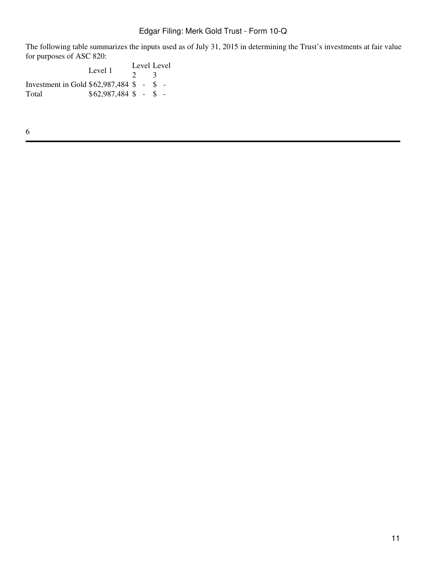# Edgar Filing: Merk Gold Trust - Form 10-Q

The following table summarizes the inputs used as of July 31, 2015 in determining the Trust's investments at fair value for purposes of ASC 820:

Level 1 2 Level 3 Investment in Gold \$62,987,484 \$ - \$ - Total \$62,987,484 \$ - \$ -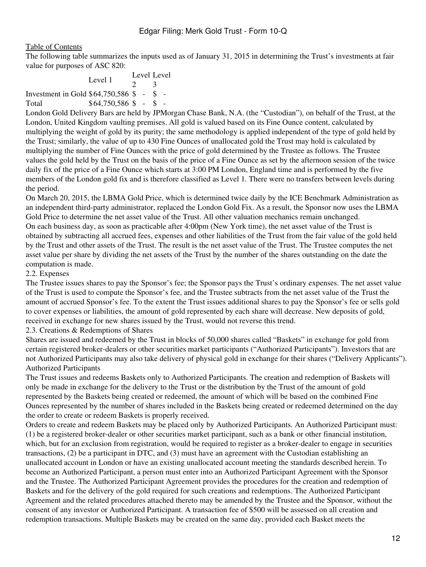The following table summarizes the inputs used as of January 31, 2015 in determining the Trust's investments at fair value for purposes of ASC 820:

Level 1  $\gamma$ Level 3 Investment in Gold \$64,750,586 \$ - \$ - Total  $$64,750,586$  \$ - \$ -

London Gold Delivery Bars are held by JPMorgan Chase Bank, N.A. (the "Custodian"), on behalf of the Trust, at the London, United Kingdom vaulting premises. All gold is valued based on its Fine Ounce content, calculated by multiplying the weight of gold by its purity; the same methodology is applied independent of the type of gold held by the Trust; similarly, the value of up to 430 Fine Ounces of unallocated gold the Trust may hold is calculated by multiplying the number of Fine Ounces with the price of gold determined by the Trustee as follows. The Trustee values the gold held by the Trust on the basis of the price of a Fine Ounce as set by the afternoon session of the twice daily fix of the price of a Fine Ounce which starts at 3:00 PM London, England time and is performed by the five members of the London gold fix and is therefore classified as Level 1. There were no transfers between levels during the period.

On March 20, 2015, the LBMA Gold Price, which is determined twice daily by the ICE Benchmark Administration as an independent third-party administrator, replaced the London Gold Fix. As a result, the Sponsor now uses the LBMA Gold Price to determine the net asset value of the Trust. All other valuation mechanics remain unchanged. On each business day, as soon as practicable after 4:00pm (New York time), the net asset value of the Trust is obtained by subtracting all accrued fees, expenses and other liabilities of the Trust from the fair value of the gold held by the Trust and other assets of the Trust. The result is the net asset value of the Trust. The Trustee computes the net asset value per share by dividing the net assets of the Trust by the number of the shares outstanding on the date the computation is made.

#### 2.2. Expenses

The Trustee issues shares to pay the Sponsor's fee; the Sponsor pays the Trust's ordinary expenses. The net asset value of the Trust is used to compute the Sponsor's fee, and the Trustee subtracts from the net asset value of the Trust the amount of accrued Sponsor's fee. To the extent the Trust issues additional shares to pay the Sponsor's fee or sells gold to cover expenses or liabilities, the amount of gold represented by each share will decrease. New deposits of gold, received in exchange for new shares issued by the Trust, would not reverse this trend.

2.3. Creations & Redemptions of Shares

Shares are issued and redeemed by the Trust in blocks of 50,000 shares called "Baskets" in exchange for gold from certain registered broker-dealers or other securities market participants ("Authorized Participants"). Investors that are not Authorized Participants may also take delivery of physical gold in exchange for their shares ("Delivery Applicants"). Authorized Participants

The Trust issues and redeems Baskets only to Authorized Participants. The creation and redemption of Baskets will only be made in exchange for the delivery to the Trust or the distribution by the Trust of the amount of gold represented by the Baskets being created or redeemed, the amount of which will be based on the combined Fine Ounces represented by the number of shares included in the Baskets being created or redeemed determined on the day the order to create or redeem Baskets is properly received.

Orders to create and redeem Baskets may be placed only by Authorized Participants. An Authorized Participant must: (1) be a registered broker-dealer or other securities market participant, such as a bank or other financial institution, which, but for an exclusion from registration, would be required to register as a broker-dealer to engage in securities transactions, (2) be a participant in DTC, and (3) must have an agreement with the Custodian establishing an unallocated account in London or have an existing unallocated account meeting the standards described herein. To become an Authorized Participant, a person must enter into an Authorized Participant Agreement with the Sponsor and the Trustee. The Authorized Participant Agreement provides the procedures for the creation and redemption of Baskets and for the delivery of the gold required for such creations and redemptions. The Authorized Participant Agreement and the related procedures attached thereto may be amended by the Trustee and the Sponsor, without the consent of any investor or Authorized Participant. A transaction fee of \$500 will be assessed on all creation and redemption transactions. Multiple Baskets may be created on the same day, provided each Basket meets the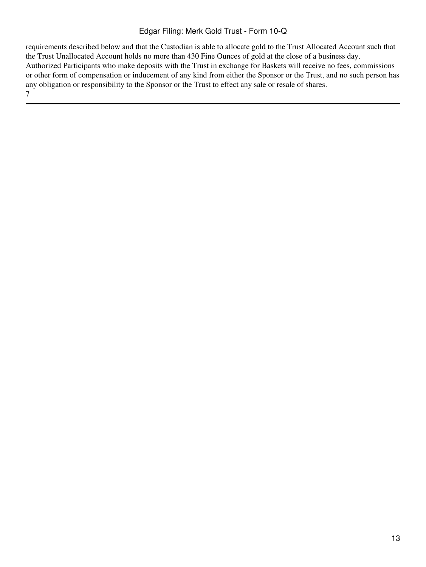# Edgar Filing: Merk Gold Trust - Form 10-Q

requirements described below and that the Custodian is able to allocate gold to the Trust Allocated Account such that the Trust Unallocated Account holds no more than 430 Fine Ounces of gold at the close of a business day. Authorized Participants who make deposits with the Trust in exchange for Baskets will receive no fees, commissions or other form of compensation or inducement of any kind from either the Sponsor or the Trust, and no such person has any obligation or responsibility to the Sponsor or the Trust to effect any sale or resale of shares. 7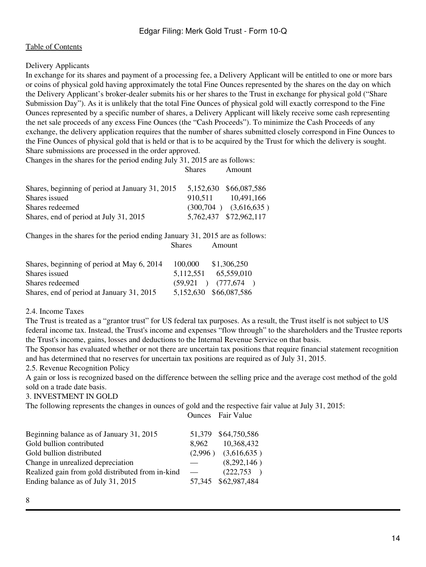# Delivery Applicants

In exchange for its shares and payment of a processing fee, a Delivery Applicant will be entitled to one or more bars or coins of physical gold having approximately the total Fine Ounces represented by the shares on the day on which the Delivery Applicant's broker-dealer submits his or her shares to the Trust in exchange for physical gold ("Share Submission Day"). As it is unlikely that the total Fine Ounces of physical gold will exactly correspond to the Fine Ounces represented by a specific number of shares, a Delivery Applicant will likely receive some cash representing the net sale proceeds of any excess Fine Ounces (the "Cash Proceeds"). To minimize the Cash Proceeds of any exchange, the delivery application requires that the number of shares submitted closely correspond in Fine Ounces to the Fine Ounces of physical gold that is held or that is to be acquired by the Trust for which the delivery is sought. Share submissions are processed in the order approved.

Shares Amount

Changes in the shares for the period ending July 31, 2015 are as follows:

| Shares, beginning of period at January 31, 2015 |         | 5,152,630 \$66,087,586    |
|-------------------------------------------------|---------|---------------------------|
| Shares issued                                   | 910.511 | 10.491.166                |
| Shares redeemed                                 |         | $(300,704)$ $(3,616,635)$ |
| Shares, end of period at July 31, 2015          |         | 5,762,437 \$72,962,117    |

Changes in the shares for the period ending January 31, 2015 are as follows: Shares Amount

| Shares, beginning of period at May 6, 2014 | 100,000   | \$1,306,250            |
|--------------------------------------------|-----------|------------------------|
| Shares issued                              | 5.112.551 | 65,559,010             |
| Shares redeemed                            |           | $(59,921)$ $(777,674)$ |
| Shares, end of period at January 31, 2015  |           | 5,152,630 \$66,087,586 |

2.4. Income Taxes

The Trust is treated as a "grantor trust" for US federal tax purposes. As a result, the Trust itself is not subject to US federal income tax. Instead, the Trust's income and expenses "flow through" to the shareholders and the Trustee reports the Trust's income, gains, losses and deductions to the Internal Revenue Service on that basis.

The Sponsor has evaluated whether or not there are uncertain tax positions that require financial statement recognition and has determined that no reserves for uncertain tax positions are required as of July 31, 2015.

2.5. Revenue Recognition Policy

A gain or loss is recognized based on the difference between the selling price and the average cost method of the gold sold on a trade date basis.

#### 3. INVESTMENT IN GOLD

The following represents the changes in ounces of gold and the respective fair value at July 31, 2015:

Ounces Fair Value

| Beginning balance as of January 31, 2015         |                          | 51,379 \$64,750,586     |
|--------------------------------------------------|--------------------------|-------------------------|
| Gold bullion contributed                         | 8.962                    | 10,368,432              |
| Gold bullion distributed                         |                          | $(2,996)$ $(3,616,635)$ |
| Change in unrealized depreciation                |                          | (8,292,146)             |
| Realized gain from gold distributed from in-kind | $\overline{\phantom{0}}$ | (222,753)               |
| Ending balance as of July 31, 2015               |                          | 57,345 \$62,987,484     |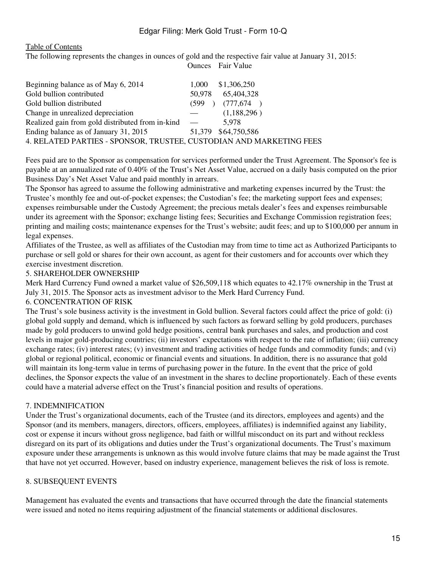## Edgar Filing: Merk Gold Trust - Form 10-Q

#### [Table of Contents](#page-2-0)

The following represents the changes in ounces of gold and the respective fair value at January 31, 2015: Ounces Fair Value

| Beginning balance as of May 6, 2014                                 | 1.000  | \$1,306,250         |
|---------------------------------------------------------------------|--------|---------------------|
| Gold bullion contributed                                            | 50,978 | 65,404,328          |
| Gold bullion distributed                                            | (599)  | (777, 674)          |
| Change in unrealized depreciation                                   |        | (1,188,296)         |
| Realized gain from gold distributed from in-kind —                  |        | 5.978               |
| Ending balance as of January 31, 2015                               |        | 51,379 \$64,750,586 |
| 4. RELATED PARTIES - SPONSOR, TRUSTEE, CUSTODIAN AND MARKETING FEES |        |                     |

Fees paid are to the Sponsor as compensation for services performed under the Trust Agreement. The Sponsor's fee is payable at an annualized rate of 0.40% of the Trust's Net Asset Value, accrued on a daily basis computed on the prior Business Day's Net Asset Value and paid monthly in arrears.

The Sponsor has agreed to assume the following administrative and marketing expenses incurred by the Trust: the Trustee's monthly fee and out-of-pocket expenses; the Custodian's fee; the marketing support fees and expenses; expenses reimbursable under the Custody Agreement; the precious metals dealer's fees and expenses reimbursable under its agreement with the Sponsor; exchange listing fees; Securities and Exchange Commission registration fees; printing and mailing costs; maintenance expenses for the Trust's website; audit fees; and up to \$100,000 per annum in legal expenses.

Affiliates of the Trustee, as well as affiliates of the Custodian may from time to time act as Authorized Participants to purchase or sell gold or shares for their own account, as agent for their customers and for accounts over which they exercise investment discretion.

#### 5. SHAREHOLDER OWNERSHIP

Merk Hard Currency Fund owned a market value of \$26,509,118 which equates to 42.17% ownership in the Trust at July 31, 2015. The Sponsor acts as investment advisor to the Merk Hard Currency Fund.

#### 6. CONCENTRATION OF RISK

The Trust's sole business activity is the investment in Gold bullion. Several factors could affect the price of gold: (i) global gold supply and demand, which is influenced by such factors as forward selling by gold producers, purchases made by gold producers to unwind gold hedge positions, central bank purchases and sales, and production and cost levels in major gold-producing countries; (ii) investors' expectations with respect to the rate of inflation; (iii) currency exchange rates; (iv) interest rates; (v) investment and trading activities of hedge funds and commodity funds; and (vi) global or regional political, economic or financial events and situations. In addition, there is no assurance that gold will maintain its long-term value in terms of purchasing power in the future. In the event that the price of gold declines, the Sponsor expects the value of an investment in the shares to decline proportionately. Each of these events could have a material adverse effect on the Trust's financial position and results of operations.

#### 7. INDEMNIFICATION

Under the Trust's organizational documents, each of the Trustee (and its directors, employees and agents) and the Sponsor (and its members, managers, directors, officers, employees, affiliates) is indemnified against any liability, cost or expense it incurs without gross negligence, bad faith or willful misconduct on its part and without reckless disregard on its part of its obligations and duties under the Trust's organizational documents. The Trust's maximum exposure under these arrangements is unknown as this would involve future claims that may be made against the Trust that have not yet occurred. However, based on industry experience, management believes the risk of loss is remote.

#### 8. SUBSEQUENT EVENTS

Management has evaluated the events and transactions that have occurred through the date the financial statements were issued and noted no items requiring adjustment of the financial statements or additional disclosures.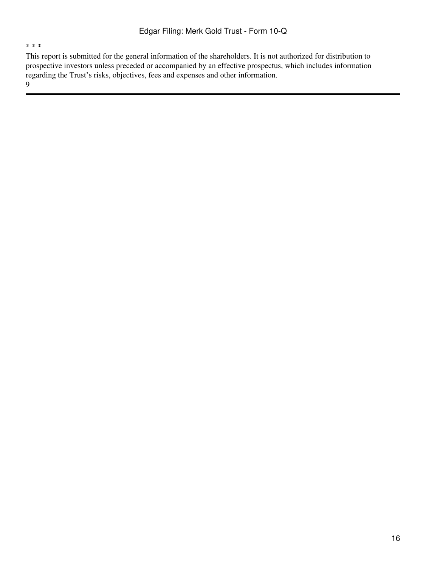\* \* \*

This report is submitted for the general information of the shareholders. It is not authorized for distribution to prospective investors unless preceded or accompanied by an effective prospectus, which includes information regarding the Trust's risks, objectives, fees and expenses and other information.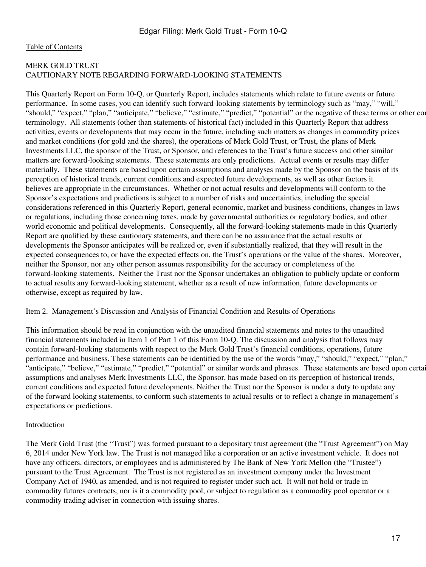# <span id="page-16-0"></span>MERK GOLD TRUST CAUTIONARY NOTE REGARDING FORWARD-LOOKING STATEMENTS

This Quarterly Report on Form 10-Q, or Quarterly Report, includes statements which relate to future events or future performance. In some cases, you can identify such forward-looking statements by terminology such as "may," "will," "should," "expect," "plan," "anticipate," "believe," "estimate," "predict," "potential" or the negative of these terms or other com terminology. All statements (other than statements of historical fact) included in this Quarterly Report that address activities, events or developments that may occur in the future, including such matters as changes in commodity prices and market conditions (for gold and the shares), the operations of Merk Gold Trust, or Trust, the plans of Merk Investments LLC, the sponsor of the Trust, or Sponsor, and references to the Trust's future success and other similar matters are forward-looking statements. These statements are only predictions. Actual events or results may differ materially. These statements are based upon certain assumptions and analyses made by the Sponsor on the basis of its perception of historical trends, current conditions and expected future developments, as well as other factors it believes are appropriate in the circumstances. Whether or not actual results and developments will conform to the Sponsor's expectations and predictions is subject to a number of risks and uncertainties, including the special considerations referenced in this Quarterly Report, general economic, market and business conditions, changes in laws or regulations, including those concerning taxes, made by governmental authorities or regulatory bodies, and other world economic and political developments. Consequently, all the forward-looking statements made in this Quarterly Report are qualified by these cautionary statements, and there can be no assurance that the actual results or developments the Sponsor anticipates will be realized or, even if substantially realized, that they will result in the expected consequences to, or have the expected effects on, the Trust's operations or the value of the shares. Moreover, neither the Sponsor, nor any other person assumes responsibility for the accuracy or completeness of the forward-looking statements. Neither the Trust nor the Sponsor undertakes an obligation to publicly update or conform to actual results any forward-looking statement, whether as a result of new information, future developments or otherwise, except as required by law.

<span id="page-16-1"></span>Item 2. Management's Discussion and Analysis of Financial Condition and Results of Operations

This information should be read in conjunction with the unaudited financial statements and notes to the unaudited financial statements included in Item 1 of Part 1 of this Form 10-Q. The discussion and analysis that follows may contain forward-looking statements with respect to the Merk Gold Trust's financial conditions, operations, future performance and business. These statements can be identified by the use of the words "may," "should," "expect," "plan," "anticipate," "believe," "estimate," "predict," "potential" or similar words and phrases. These statements are based upon certain assumptions and analyses Merk Investments LLC, the Sponsor, has made based on its perception of historical trends, current conditions and expected future developments. Neither the Trust nor the Sponsor is under a duty to update any of the forward looking statements, to conform such statements to actual results or to reflect a change in management's expectations or predictions.

## Introduction

The Merk Gold Trust (the "Trust") was formed pursuant to a depositary trust agreement (the "Trust Agreement") on May 6, 2014 under New York law. The Trust is not managed like a corporation or an active investment vehicle. It does not have any officers, directors, or employees and is administered by The Bank of New York Mellon (the "Trustee") pursuant to the Trust Agreement. The Trust is not registered as an investment company under the Investment Company Act of 1940, as amended, and is not required to register under such act. It will not hold or trade in commodity futures contracts, nor is it a commodity pool, or subject to regulation as a commodity pool operator or a commodity trading adviser in connection with issuing shares.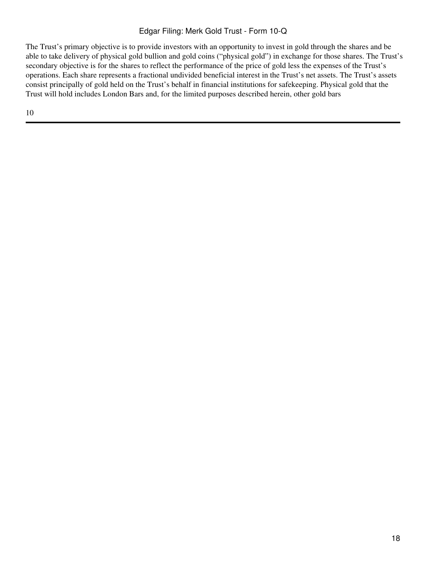# Edgar Filing: Merk Gold Trust - Form 10-Q

The Trust's primary objective is to provide investors with an opportunity to invest in gold through the shares and be able to take delivery of physical gold bullion and gold coins ("physical gold") in exchange for those shares. The Trust's secondary objective is for the shares to reflect the performance of the price of gold less the expenses of the Trust's operations. Each share represents a fractional undivided beneficial interest in the Trust's net assets. The Trust's assets consist principally of gold held on the Trust's behalf in financial institutions for safekeeping. Physical gold that the Trust will hold includes London Bars and, for the limited purposes described herein, other gold bars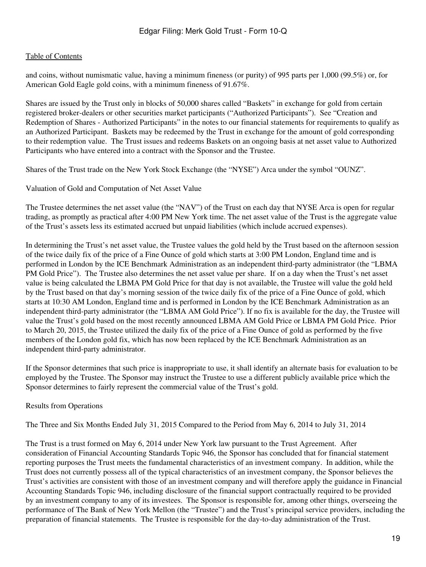and coins, without numismatic value, having a minimum fineness (or purity) of 995 parts per 1,000 (99.5%) or, for American Gold Eagle gold coins, with a minimum fineness of 91.67%.

Shares are issued by the Trust only in blocks of 50,000 shares called "Baskets" in exchange for gold from certain registered broker-dealers or other securities market participants ("Authorized Participants"). See "Creation and Redemption of Shares - Authorized Participants" in the notes to our financial statements for requirements to qualify as an Authorized Participant. Baskets may be redeemed by the Trust in exchange for the amount of gold corresponding to their redemption value. The Trust issues and redeems Baskets on an ongoing basis at net asset value to Authorized Participants who have entered into a contract with the Sponsor and the Trustee.

Shares of the Trust trade on the New York Stock Exchange (the "NYSE") Arca under the symbol "OUNZ".

Valuation of Gold and Computation of Net Asset Value

The Trustee determines the net asset value (the "NAV") of the Trust on each day that NYSE Arca is open for regular trading, as promptly as practical after 4:00 PM New York time. The net asset value of the Trust is the aggregate value of the Trust's assets less its estimated accrued but unpaid liabilities (which include accrued expenses).

In determining the Trust's net asset value, the Trustee values the gold held by the Trust based on the afternoon session of the twice daily fix of the price of a Fine Ounce of gold which starts at 3:00 PM London, England time and is performed in London by the ICE Benchmark Administration as an independent third-party administrator (the "LBMA PM Gold Price"). The Trustee also determines the net asset value per share. If on a day when the Trust's net asset value is being calculated the LBMA PM Gold Price for that day is not available, the Trustee will value the gold held by the Trust based on that day's morning session of the twice daily fix of the price of a Fine Ounce of gold, which starts at 10:30 AM London, England time and is performed in London by the ICE Benchmark Administration as an independent third-party administrator (the "LBMA AM Gold Price"). If no fix is available for the day, the Trustee will value the Trust's gold based on the most recently announced LBMA AM Gold Price or LBMA PM Gold Price. Prior to March 20, 2015, the Trustee utilized the daily fix of the price of a Fine Ounce of gold as performed by the five members of the London gold fix, which has now been replaced by the ICE Benchmark Administration as an independent third-party administrator.

If the Sponsor determines that such price is inappropriate to use, it shall identify an alternate basis for evaluation to be employed by the Trustee. The Sponsor may instruct the Trustee to use a different publicly available price which the Sponsor determines to fairly represent the commercial value of the Trust's gold.

Results from Operations

The Three and Six Months Ended July 31, 2015 Compared to the Period from May 6, 2014 to July 31, 2014

The Trust is a trust formed on May 6, 2014 under New York law pursuant to the Trust Agreement. After consideration of Financial Accounting Standards Topic 946, the Sponsor has concluded that for financial statement reporting purposes the Trust meets the fundamental characteristics of an investment company. In addition, while the Trust does not currently possess all of the typical characteristics of an investment company, the Sponsor believes the Trust's activities are consistent with those of an investment company and will therefore apply the guidance in Financial Accounting Standards Topic 946, including disclosure of the financial support contractually required to be provided by an investment company to any of its investees. The Sponsor is responsible for, among other things, overseeing the performance of The Bank of New York Mellon (the "Trustee") and the Trust's principal service providers, including the preparation of financial statements. The Trustee is responsible for the day-to-day administration of the Trust.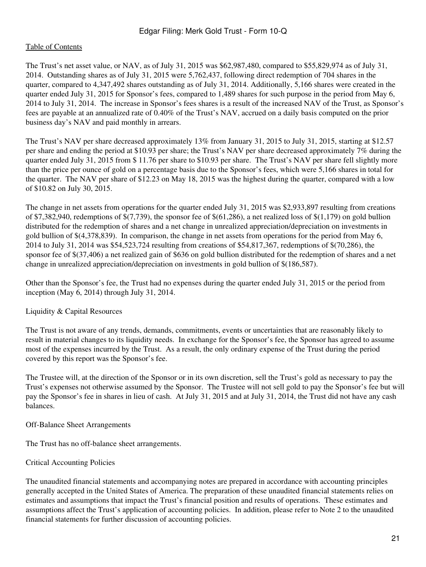The Trust's net asset value, or NAV, as of July 31, 2015 was \$62,987,480, compared to \$55,829,974 as of July 31, 2014. Outstanding shares as of July 31, 2015 were 5,762,437, following direct redemption of 704 shares in the quarter, compared to 4,347,492 shares outstanding as of July 31, 2014. Additionally, 5,166 shares were created in the quarter ended July 31, 2015 for Sponsor's fees, compared to 1,489 shares for such purpose in the period from May 6, 2014 to July 31, 2014. The increase in Sponsor's fees shares is a result of the increased NAV of the Trust, as Sponsor's fees are payable at an annualized rate of 0.40% of the Trust's NAV, accrued on a daily basis computed on the prior business day's NAV and paid monthly in arrears.

The Trust's NAV per share decreased approximately 13% from January 31, 2015 to July 31, 2015, starting at \$12.57 per share and ending the period at \$10.93 per share; the Trust's NAV per share decreased approximately 7% during the quarter ended July 31, 2015 from \$ 11.76 per share to \$10.93 per share. The Trust's NAV per share fell slightly more than the price per ounce of gold on a percentage basis due to the Sponsor's fees, which were 5,166 shares in total for the quarter. The NAV per share of \$12.23 on May 18, 2015 was the highest during the quarter, compared with a low of \$10.82 on July 30, 2015.

The change in net assets from operations for the quarter ended July 31, 2015 was \$2,933,897 resulting from creations of \$7,382,940, redemptions of  $(7,739)$ , the sponsor fee of  $(61,286)$ , a net realized loss of  $(1,179)$  on gold bullion distributed for the redemption of shares and a net change in unrealized appreciation/depreciation on investments in gold bullion of \$(4,378,839). In comparison, the change in net assets from operations for the period from May 6, 2014 to July 31, 2014 was \$54,523,724 resulting from creations of \$54,817,367, redemptions of \$(70,286), the sponsor fee of \$(37,406) a net realized gain of \$636 on gold bullion distributed for the redemption of shares and a net change in unrealized appreciation/depreciation on investments in gold bullion of \$(186,587).

Other than the Sponsor's fee, the Trust had no expenses during the quarter ended July 31, 2015 or the period from inception (May 6, 2014) through July 31, 2014.

## Liquidity & Capital Resources

The Trust is not aware of any trends, demands, commitments, events or uncertainties that are reasonably likely to result in material changes to its liquidity needs. In exchange for the Sponsor's fee, the Sponsor has agreed to assume most of the expenses incurred by the Trust. As a result, the only ordinary expense of the Trust during the period covered by this report was the Sponsor's fee.

The Trustee will, at the direction of the Sponsor or in its own discretion, sell the Trust's gold as necessary to pay the Trust's expenses not otherwise assumed by the Sponsor. The Trustee will not sell gold to pay the Sponsor's fee but will pay the Sponsor's fee in shares in lieu of cash. At July 31, 2015 and at July 31, 2014, the Trust did not have any cash balances.

Off-Balance Sheet Arrangements

The Trust has no off-balance sheet arrangements.

## Critical Accounting Policies

The unaudited financial statements and accompanying notes are prepared in accordance with accounting principles generally accepted in the United States of America. The preparation of these unaudited financial statements relies on estimates and assumptions that impact the Trust's financial position and results of operations. These estimates and assumptions affect the Trust's application of accounting policies. In addition, please refer to Note 2 to the unaudited financial statements for further discussion of accounting policies.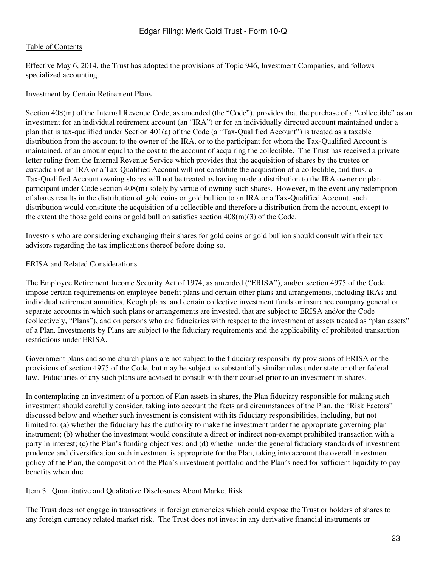Effective May 6, 2014, the Trust has adopted the provisions of Topic 946, Investment Companies, and follows specialized accounting.

#### Investment by Certain Retirement Plans

Section 408(m) of the Internal Revenue Code, as amended (the "Code"), provides that the purchase of a "collectible" as an investment for an individual retirement account (an "IRA") or for an individually directed account maintained under a plan that is tax-qualified under Section 401(a) of the Code (a "Tax-Qualified Account") is treated as a taxable distribution from the account to the owner of the IRA, or to the participant for whom the Tax-Qualified Account is maintained, of an amount equal to the cost to the account of acquiring the collectible. The Trust has received a private letter ruling from the Internal Revenue Service which provides that the acquisition of shares by the trustee or custodian of an IRA or a Tax-Qualified Account will not constitute the acquisition of a collectible, and thus, a Tax-Qualified Account owning shares will not be treated as having made a distribution to the IRA owner or plan participant under Code section 408(m) solely by virtue of owning such shares. However, in the event any redemption of shares results in the distribution of gold coins or gold bullion to an IRA or a Tax-Qualified Account, such distribution would constitute the acquisition of a collectible and therefore a distribution from the account, except to the extent the those gold coins or gold bullion satisfies section  $408(m)(3)$  of the Code.

Investors who are considering exchanging their shares for gold coins or gold bullion should consult with their tax advisors regarding the tax implications thereof before doing so.

#### ERISA and Related Considerations

The Employee Retirement Income Security Act of 1974, as amended ("ERISA"), and/or section 4975 of the Code impose certain requirements on employee benefit plans and certain other plans and arrangements, including IRAs and individual retirement annuities, Keogh plans, and certain collective investment funds or insurance company general or separate accounts in which such plans or arrangements are invested, that are subject to ERISA and/or the Code (collectively, "Plans"), and on persons who are fiduciaries with respect to the investment of assets treated as "plan assets" of a Plan. Investments by Plans are subject to the fiduciary requirements and the applicability of prohibited transaction restrictions under ERISA.

Government plans and some church plans are not subject to the fiduciary responsibility provisions of ERISA or the provisions of section 4975 of the Code, but may be subject to substantially similar rules under state or other federal law. Fiduciaries of any such plans are advised to consult with their counsel prior to an investment in shares.

In contemplating an investment of a portion of Plan assets in shares, the Plan fiduciary responsible for making such investment should carefully consider, taking into account the facts and circumstances of the Plan, the "Risk Factors" discussed below and whether such investment is consistent with its fiduciary responsibilities, including, but not limited to: (a) whether the fiduciary has the authority to make the investment under the appropriate governing plan instrument; (b) whether the investment would constitute a direct or indirect non-exempt prohibited transaction with a party in interest; (c) the Plan's funding objectives; and (d) whether under the general fiduciary standards of investment prudence and diversification such investment is appropriate for the Plan, taking into account the overall investment policy of the Plan, the composition of the Plan's investment portfolio and the Plan's need for sufficient liquidity to pay benefits when due.

<span id="page-22-0"></span>Item 3. Quantitative and Qualitative Disclosures About Market Risk

The Trust does not engage in transactions in foreign currencies which could expose the Trust or holders of shares to any foreign currency related market risk. The Trust does not invest in any derivative financial instruments or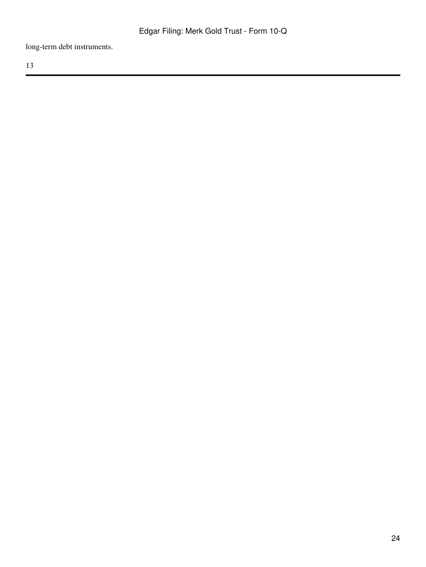long-term debt instruments.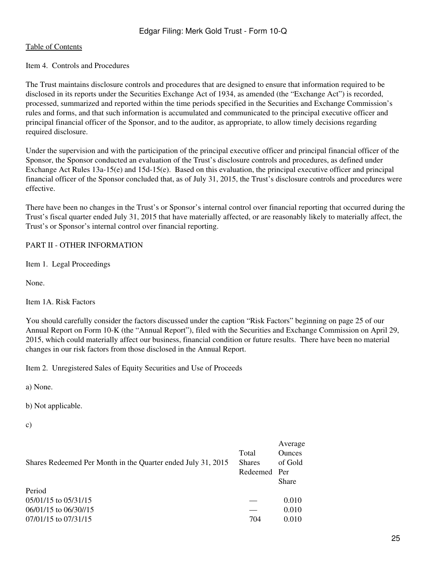#### <span id="page-24-0"></span>Item 4. Controls and Procedures

The Trust maintains disclosure controls and procedures that are designed to ensure that information required to be disclosed in its reports under the Securities Exchange Act of 1934, as amended (the "Exchange Act") is recorded, processed, summarized and reported within the time periods specified in the Securities and Exchange Commission's rules and forms, and that such information is accumulated and communicated to the principal executive officer and principal financial officer of the Sponsor, and to the auditor, as appropriate, to allow timely decisions regarding required disclosure.

Under the supervision and with the participation of the principal executive officer and principal financial officer of the Sponsor, the Sponsor conducted an evaluation of the Trust's disclosure controls and procedures, as defined under Exchange Act Rules 13a-15(e) and 15d-15(e). Based on this evaluation, the principal executive officer and principal financial officer of the Sponsor concluded that, as of July 31, 2015, the Trust's disclosure controls and procedures were effective.

There have been no changes in the Trust's or Sponsor's internal control over financial reporting that occurred during the Trust's fiscal quarter ended July 31, 2015 that have materially affected, or are reasonably likely to materially affect, the Trust's or Sponsor's internal control over financial reporting.

## <span id="page-24-1"></span>PART II - OTHER INFORMATION

<span id="page-24-2"></span>Item 1. Legal Proceedings

None.

<span id="page-24-3"></span>Item 1A. Risk Factors

You should carefully consider the factors discussed under the caption "Risk Factors" beginning on page 25 of our Annual Report on Form 10-K (the "Annual Report"), filed with the Securities and Exchange Commission on April 29, 2015, which could materially affect our business, financial condition or future results. There have been no material changes in our risk factors from those disclosed in the Annual Report.

<span id="page-24-4"></span>Item 2. Unregistered Sales of Equity Securities and Use of Proceeds

a) None.

b) Not applicable.

c)

|                                                              |               | Average      |
|--------------------------------------------------------------|---------------|--------------|
|                                                              | Total         | Ounces       |
| Shares Redeemed Per Month in the Quarter ended July 31, 2015 | <b>Shares</b> | of Gold      |
|                                                              | Redeemed Per  |              |
|                                                              |               | <b>Share</b> |
| Period                                                       |               |              |
| $05/01/15$ to $05/31/15$                                     |               | 0.010        |
| $06/01/15$ to $06/30/15$                                     |               | 0.010        |
| 07/01/15 to 07/31/15                                         | 704           | 0.010        |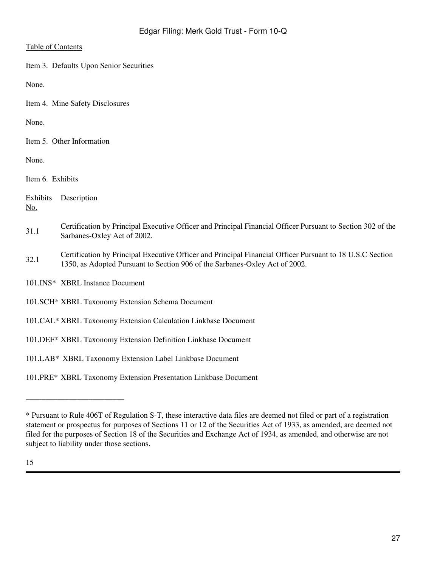<span id="page-26-0"></span>Item 3. Defaults Upon Senior Securities

None.

<span id="page-26-1"></span>Item 4. Mine Safety Disclosures

None.

<span id="page-26-2"></span>Item 5. Other Information

None.

<span id="page-26-3"></span>Item 6. Exhibits

Exhibits Description No.

- 31.1 Certification by Principal Executive Officer and Principal Financial Officer Pursuant to Section 302 of the Sarbanes-Oxley Act of 2002.
- 32.1 Certification by Principal Executive Officer and Principal Financial Officer Pursuant to 18 U.S.C Section 1350, as Adopted Pursuant to Section 906 of the Sarbanes-Oxley Act of 2002.

101.INS\* XBRL Instance Document

\_\_\_\_\_\_\_\_\_\_\_\_\_\_\_\_\_\_\_\_\_\_\_\_\_

- 101.SCH\* XBRL Taxonomy Extension Schema Document
- 101.CAL\* XBRL Taxonomy Extension Calculation Linkbase Document
- 101.DEF\* XBRL Taxonomy Extension Definition Linkbase Document
- 101.LAB\* XBRL Taxonomy Extension Label Linkbase Document

101.PRE\* XBRL Taxonomy Extension Presentation Linkbase Document

<sup>\*</sup> Pursuant to Rule 406T of Regulation S-T, these interactive data files are deemed not filed or part of a registration statement or prospectus for purposes of Sections 11 or 12 of the Securities Act of 1933, as amended, are deemed not filed for the purposes of Section 18 of the Securities and Exchange Act of 1934, as amended, and otherwise are not subject to liability under those sections.